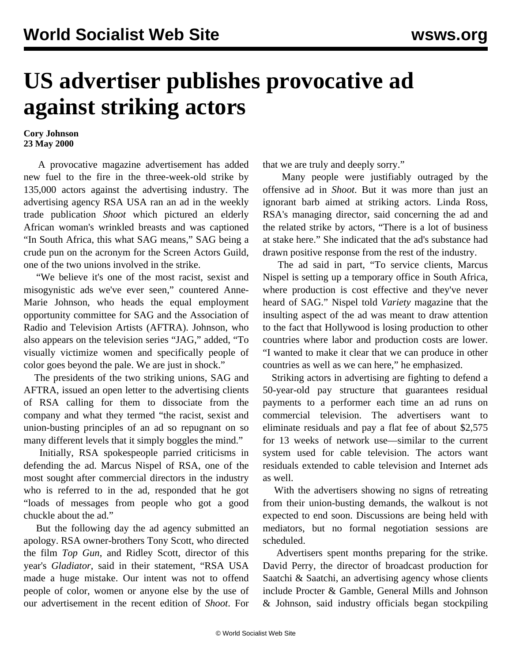## **US advertiser publishes provocative ad against striking actors**

## **Cory Johnson 23 May 2000**

 A provocative magazine advertisement has added new fuel to the fire in the three-week-old strike by 135,000 actors against the advertising industry. The advertising agency RSA USA ran an ad in the weekly trade publication *Shoot* which pictured an elderly African woman's wrinkled breasts and was captioned "In South Africa, this what SAG means," SAG being a crude pun on the acronym for the Screen Actors Guild, one of the two unions involved in the strike.

 "We believe it's one of the most racist, sexist and misogynistic ads we've ever seen," countered Anne-Marie Johnson, who heads the equal employment opportunity committee for SAG and the Association of Radio and Television Artists (AFTRA). Johnson, who also appears on the television series "JAG," added, "To visually victimize women and specifically people of color goes beyond the pale. We are just in shock."

 The presidents of the two striking unions, SAG and AFTRA, issued an open letter to the advertising clients of RSA calling for them to dissociate from the company and what they termed "the racist, sexist and union-busting principles of an ad so repugnant on so many different levels that it simply boggles the mind."

 Initially, RSA spokespeople parried criticisms in defending the ad. Marcus Nispel of RSA, one of the most sought after commercial directors in the industry who is referred to in the ad, responded that he got "loads of messages from people who got a good chuckle about the ad."

 But the following day the ad agency submitted an apology. RSA owner-brothers Tony Scott, who directed the film *Top Gun*, and Ridley Scott, director of this year's *Gladiator*, said in their statement, "RSA USA made a huge mistake. Our intent was not to offend people of color, women or anyone else by the use of our advertisement in the recent edition of *Shoot*. For

that we are truly and deeply sorry."

 Many people were justifiably outraged by the offensive ad in *Shoot*. But it was more than just an ignorant barb aimed at striking actors. Linda Ross, RSA's managing director, said concerning the ad and the related strike by actors, "There is a lot of business at stake here." She indicated that the ad's substance had drawn positive response from the rest of the industry.

 The ad said in part, "To service clients, Marcus Nispel is setting up a temporary office in South Africa, where production is cost effective and they've never heard of SAG." Nispel told *Variety* magazine that the insulting aspect of the ad was meant to draw attention to the fact that Hollywood is losing production to other countries where labor and production costs are lower. "I wanted to make it clear that we can produce in other countries as well as we can here," he emphasized.

 Striking actors in advertising are fighting to defend a 50-year-old pay structure that guarantees residual payments to a performer each time an ad runs on commercial television. The advertisers want to eliminate residuals and pay a flat fee of about \$2,575 for 13 weeks of network use—similar to the current system used for cable television. The actors want residuals extended to cable television and Internet ads as well.

 With the advertisers showing no signs of retreating from their union-busting demands, the walkout is not expected to end soon. Discussions are being held with mediators, but no formal negotiation sessions are scheduled.

 Advertisers spent months preparing for the strike. David Perry, the director of broadcast production for Saatchi & Saatchi, an advertising agency whose clients include Procter & Gamble, General Mills and Johnson & Johnson, said industry officials began stockpiling